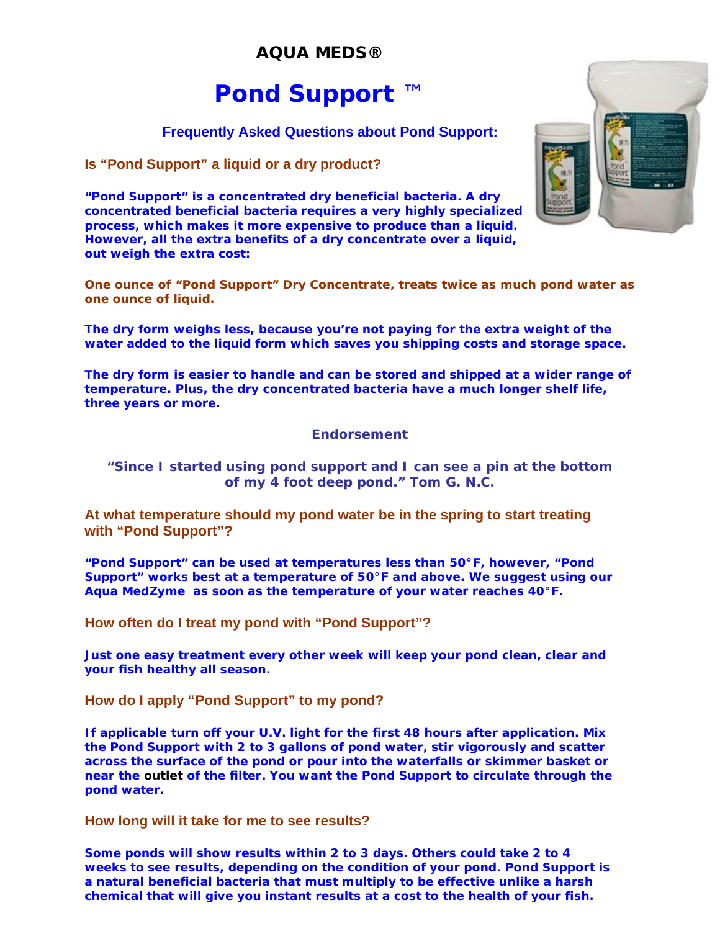# **AQUA MEDS®**

# **Pond Support** ™

# **Frequently Asked Questions about Pond Support:**

## **Is "Pond Support" a liquid or a dry product?**

**"Pond Support" is a concentrated dry beneficial bacteria. A dry concentrated beneficial bacteria requires a very highly specialized process, which makes it more expensive to produce than a liquid. However, all the extra benefits of a dry concentrate over a liquid, out weigh the extra cost:**



**One ounce of "Pond Support"** *Dry Concentrate,* **treats twice as much pond water as one ounce of liquid.**

**The dry form weighs less, because you're not paying for the extra weight of the water added to the liquid form which saves you shipping costs and storage space.**

**The dry form is easier to handle and can be stored and shipped at a wider range of temperature. Plus, the dry concentrated bacteria have a much longer shelf life, three years or more.**

#### *Endorsement*

#### *"Since I started using pond support and I can see a pin at the bottom of my 4 foot deep pond." Tom G. N.C.*

## **At what temperature should my pond water be in the spring to start treating with "Pond Support"?**

**"Pond Support" can be used at temperatures less than 50°F, however, "Pond Support" works best at a temperature of 50°F and above. We suggest using our Aqua MedZyme as soon as the temperature of your water reaches 40°F.** 

#### **How often do I treat my pond with "Pond Support"?**

**Just one easy treatment every other week will keep your pond clean, clear and your fish healthy all season.**

#### **How do I apply "Pond Support" to my pond?**

**If applicable turn off your U.V. light for the first 48 hours after application. Mix the Pond Support with 2 to 3 gallons of pond water, stir vigorously and scatter across the surface of the pond or pour into the waterfalls or skimmer basket or near the outlet of the filter. You want the Pond Support to circulate through the pond water.**

#### **How long will it take for me to see results?**

**Some ponds will show results within 2 to 3 days. Others could take 2 to 4 weeks to see results, depending on the condition of your pond. Pond Support is a** *natural beneficial bacteria* **that must multiply to be effective unlike a harsh chemical that will give you instant results at a cost to the health of your fish.**